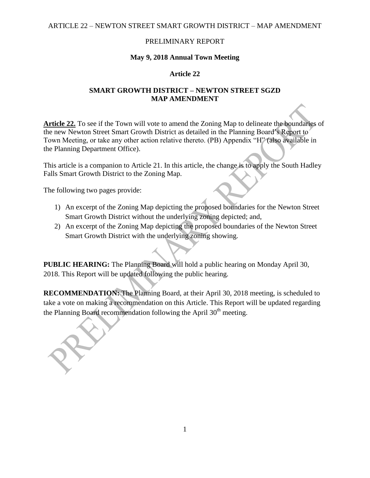ARTICLE 22 – NEWTON STREET SMART GROWTH DISTRICT – MAP AMENDMENT

### PRELIMINARY REPORT

### **May 9, 2018 Annual Town Meeting**

### **Article 22**

### **SMART GROWTH DISTRICT – NEWTON STREET SGZD MAP AMENDMENT**

**Article 22.** To see if the Town will vote to amend the Zoning Map to delineate the boundaries of the new Newton Street Smart Growth District as detailed in the Planning Board's Report to Town Meeting, or take any other action relative thereto. (PB) Appendix "H" (also available in the Planning Department Office).

This article is a companion to Article 21. In this article, the change is to apply the South Hadley Falls Smart Growth District to the Zoning Map.

The following two pages provide:

- 1) An excerpt of the Zoning Map depicting the proposed boundaries for the Newton Street Smart Growth District without the underlying zoning depicted; and,
- 2) An excerpt of the Zoning Map depicting the proposed boundaries of the Newton Street Smart Growth District with the underlying zoning showing.

**PUBLIC HEARING:** The Planning Board will hold a public hearing on Monday April 30, 2018. This Report will be updated following the public hearing.

**RECOMMENDATION:** The Planning Board, at their April 30, 2018 meeting, is scheduled to take a vote on making a recommendation on this Article. This Report will be updated regarding the Planning Board recommendation following the April 30<sup>th</sup> meeting.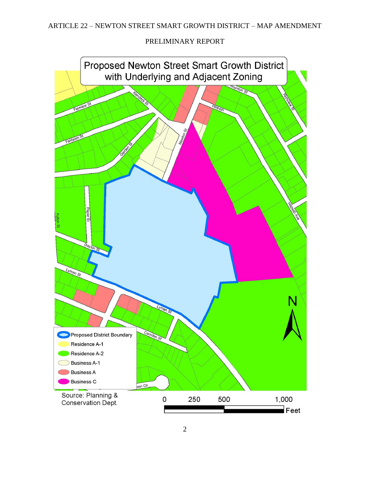## ARTICLE 22 – NEWTON STREET SMART GROWTH DISTRICT – MAP AMENDMENT

# PRELIMINARY REPORT